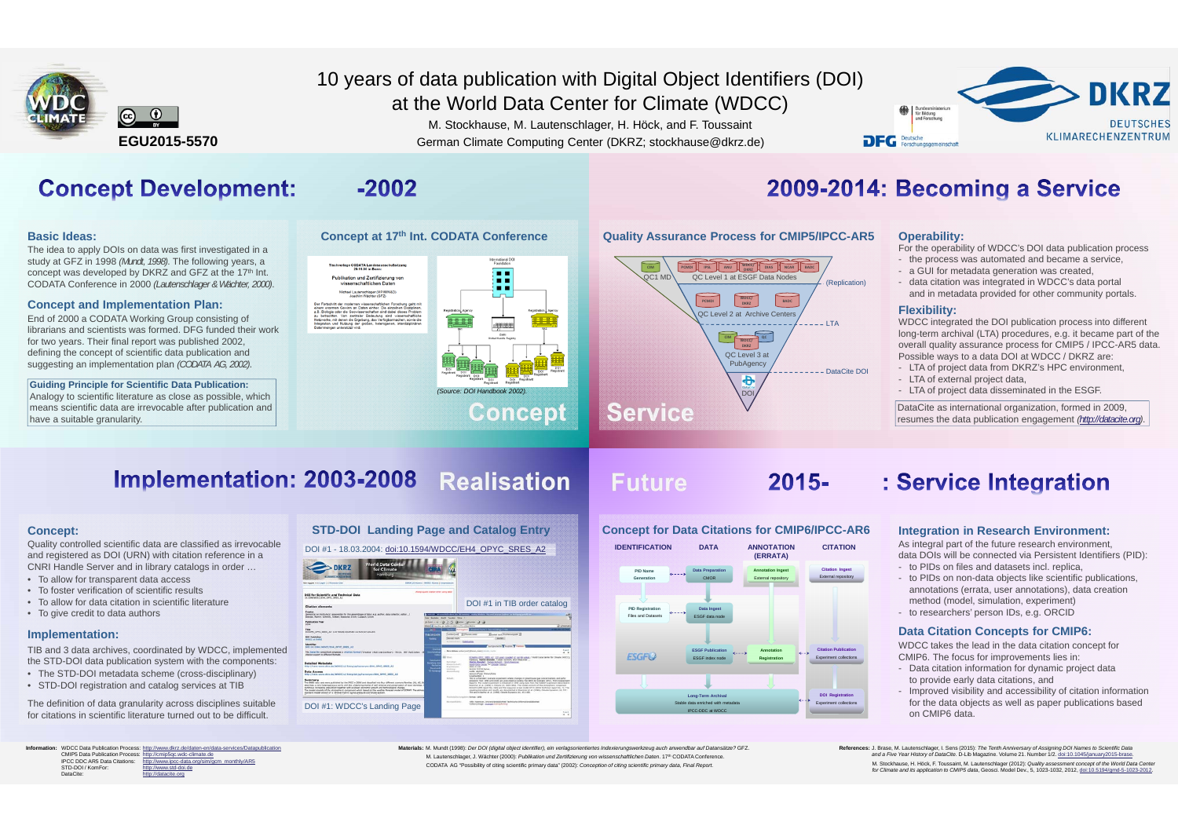

## 10 years of data publication with Digital Object Identifiers (DOI)

Materials: M. Mundt (1998): Der DOI (digital object identifier), ein verlagsorientiertes Indexierungswerkzeug auch anwendbar auf Datansätze? GFZ. M. Lautenschlager, J. Wächter (2000): *Publikation und Zertifizierung von wissenschaftlichen Daten*. 17th CODATA Conference. CODATA AG "Possibility of citing scientific primary data" (2002): *Conception of citing scientific primary data, Final Report.* 

at the World Data Center for Climate (WDCC)

M. Stockhause, M. Lautenschlager, H. Höck, and F. Toussaint German Climate Computing Center (DKRZ; stockhause@dkrz.de)



## **Concept Development:**

#### **Basic Ideas:**

The idea to apply DOIs on data was first investigated in a study at GFZ in 1998 *(Mundt, 1998)*. The following years, a concept was developed by DKRZ and GFZ at the 17<sup>th</sup> Int. CODATA Conference in 2000 *(Lautenschlager & Wächter, 2000)*.

#### **Concept and Implementation Plan:**

End of 2000 a CODATA Working Group consisting of librarians and scientists was formed. DFG funded their work for two years. Their final report was published 2002, defining the concept of scientific data publication and suggesting an implementation plan *(CODATA AG, 2002)*.

**Guiding Principle for Scientific Data Publication:** Analogy to scientific literature as close as possible, which means scientific data are irrevocable after publication and have a suitable granularity.

 $-2002$ 



## 2009-2014: Becoming a Service

#### **Quality Assurance Process for CMIP5/IPCC-AR5 Operability:**



For the operability of WDCC's DOI data publication process

- the process was automated and became a service,
- a GUI for metadata generation was created,
- data citation was integrated in WDCC's data portal and in metadata provided for other community portals.

#### **Flexibility:**

WDCC integrated the DOI publication process into different long-term archival (LTA) procedures, e.g. it became part of the overall quality assurance process for CMIP5 / IPCC-AR5 data. Possible ways to a data DOI at WDCC / DKRZ are:

- LTA of project data from DKRZ's HPC environment,
- LTA of external project data,
- LTA of project data disseminated in the ESGF.

DataCite as international organization, formed in 2009, resumes the data publication engagement *(http://datacite.org)*.

## Implementation: 2003-2008 Realisation

DOI #1: WDCC's Landing Page

## **Future**

 $2015 -$ 

#### **Concept:**

Quality controlled scientific data are classified as irrevocable and registered as DOI (URN) with citation reference in a CNRI Handle Server and in library catalogs in order …

- To allow for transparent data access
- To foster verification of scientific results
- To allow for data citation in scientific literature
- To give credit to data authors

#### **Implementation:**

TIB and 3 data archives, coordinated by WDCC, implemented the STD-DOI data publication system with the components:

- The STD-DOI metadata scheme (cross-disciplinary)
- STD-DOI registration and catalog services at TIB

The definition of data granularity across disciplines suitable for citations in scientific literature turned out to be difficult.

**Information:** WDCC Data Publication Process: CMIP5 Data Publication Process: IPCC DDC AR5 Data Citations: STD-DOI / KomFor DataCite: http://www.dkrz.de/daten-en/data-services/Datapublication<br>http://cmip5qc.wdc-climate.de<br>http://www.ipcc-data.org/sim/gcm\_monthly/AR5 http://www.std-doi.de atacite.org

### **STD-DOI Landing Page and Catalog Entry** DOI #1 - 18.03.2004: doi:10.1594/WDCC/EH4\_OPYC\_SRES\_A2 **DKRZ** DOI for Scientific and Technical Dat DOI #1 in TIB order catalog  $1 - 3 - 3$ Summary



#### **Concept for Data Citations for CMIP6/IPCC-AR6**

## : Service Integration

#### **Integration in Research Environment:**

As integral part of the future research environment, data DOIs will be connected via Persistent Identifiers (PID): - to PIDs on files and datasets incl. replica,

- to PIDs on non-data objects like scientific publications, annotations (errata, user annotations), data creation method (model, simulation, experiment)
- to researchers' person IDs, e.g. ORCID

#### **Data Citation Concepts for CMIP6:**

WDCC takes the lead in the data citation concept for CMIP6. The focus for improvements lies in:

- Data citation information for dynamic project data to provide early data citations, and
- Improved visibility and accessibility of citation information for the data objects as well as paper publications based on CMIP6 data.

References: J. Brase, M. Lautenschlager, I. Sens (2015): *The Tenth Anniversary of Assigning DOI Names to Scientific Data*<br>and a *Five Year History of DataCite*. D-Lib Magazine. Volume 21. Number 1/2. doi:10.1045/ianuarv20 M. Stockhause, H. Höck, F. Toussaint, M. Lautenschlager (2012): Quality assessment concept of the World Data Center<br>for Climate and its application to CMIP5 data. Geosci. Model Dev., 5, 1023-1032, 2012. doi:10.5194/gmd-5-1